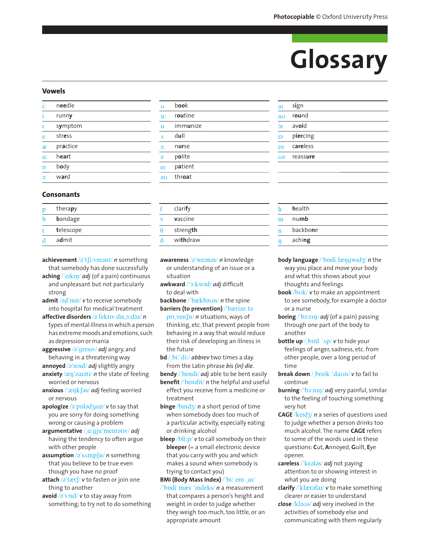# Glossary

sign

round avoid

piercing

careless

reassure

aching

**a**r  $\overline{a}$ 

 $\overline{a}$ 

**T**ə

ea

 $\overline{O}$ 

# **Vowels**

| È                | needle   |  |
|------------------|----------|--|
|                  | runny    |  |
|                  | symptom  |  |
| e                | stress   |  |
| æ                | practice |  |
| $\alpha$ :       | heart    |  |
| Ď                | body     |  |
| $\mathfrak{D}$ : | ward     |  |

# **Consonants**

| therapy   |
|-----------|
| bandage   |
| telescope |
| admit     |
|           |

- achievement /a't $\int$ i:vmant/*n* something that somebody has done successfully
- aching  $/$  eikin/ *adj* (of a pain) continuous and unpleasant but not particularly strong
- admit  $\sqrt{3}d'$ mit/ $v$  to receive somebody into hospital for medical treatment
- affective disorders /a'fektry dis.ordaz/n types of mental illness in which a person has extreme moods and emotions, such as depression or mania
- aggressive  $\sqrt{a}$  gresty/ *adj* angry, and behaving in a threatening way
- annoyed /a'nord/ adj slightly angry anxiety  $\frac{1}{2}$  and  $\frac{1}{2}$  and  $\frac{1}{2}$  and  $\frac{1}{2}$  and  $\frac{1}{2}$  and  $\frac{1}{2}$  and  $\frac{1}{2}$  and  $\frac{1}{2}$  and  $\frac{1}{2}$  and  $\frac{1}{2}$  and  $\frac{1}{2}$  and  $\frac{1}{2}$  and  $\frac{1}{2}$  and  $\frac{1}{2}$  and  $\frac{1}{2}$  and  $\frac$ worried or nervous
- anxious /' $xnk$  [as/ adj feeling worried or nervous
- apologize  $\sqrt{a}$  ppladzaiz/v to say that you are sorry for doing something wrong or causing a problem
- argumentative /  $a:qju'mentatrv/adj$ having the tendency to often argue with other people
- assumption  $\sqrt{a}$ 's $\Delta mp \int n/m$  something that you believe to be true even though you have no proof
- attach  $\sqrt{2}$ 'tæt $\int$ / $v$  to fasten or join one thing to another
- avoid  $\sqrt{2}$  void/ v to stay away from something; to try not to do something

| Ï                       | book     |
|-------------------------|----------|
| ī.                      | routine  |
| $\mathbf{I}$            | immunize |
| Í                       | dull     |
| $\overline{\mathbf{3}}$ | nurse    |
| J                       | polite   |
| ĖĪ                      | patient  |
| Œ                       | throat   |
|                         |          |

|   | clarify  |  |
|---|----------|--|
|   | vaccine  |  |
| A | strength |  |
|   | withdraw |  |

- awareness /a'weanas/ n knowledge or understanding of an issue or a situation
- awkward /'o:kwod/ adj difficult to deal with
- backbone/'bækbaun/ n the spine
- barriers (to prevention) /'bæriaz ta

pri ven  $\ln/n$  situations, ways of thinking, etc. that prevent people from behaving in a way that would reduce their risk of developing an illness in the future

**bd** / bi: 'di:/ abbrev two times a day. From the Latin phrase bis (in) die.

**bendy** /'bendi/ adj able to be bent easily **benefit** /' $benifit/$  *n* the helpful and useful

- effect you receive from a medicine or treatment
- **binge** /bmdz/ *n* a short period of time when somebody does too much of a particular activity, especially eating or drinking alcohol

**bleep**  $\frac{1}{1}$  /bli:p/ v to call somebody on their **bleeper** (=  $a$  small electronic device that you carry with you and which makes a sound when somebody is trying to contact you)

BMI (Body Mass Index) /'bi: em , ai/ "bodi mæs 'mdeks/ *n* a measurement that compares a person's height and weight in order to judge whether they weigh too much, too little, or an appropriate amount

|    | health   |
|----|----------|
| 'n | numb     |
|    | backbone |

- **body language** /'bodi  $\text{length}(3)$  n the way you place and move your body and what this shows about your thoughts and feelings
- **book** / $b\text{ok}$ / $v$  to make an appointment to see somebody, for example a doctor or a nurse
- **boring**  $\sqrt{\text{b}^{\text{O}}\cdot \text{r}}$  *di* (of a pain) passing through one part of the body to another
- **bottle up** / bptl  $\Delta p / v$  to hide your feelings of anger, sadness, etc. from other people, over a long period of time
- break down / breik 'daun/ v to fail to continue
- **burning** /'b<sub>3</sub>:nin/ *adj* very painful, similar to the feeling of touching something very hot
- **CAGE** / $\text{ked}$ / $\eta$  a series of questions used to judge whether a person drinks too much alcohol. The name CAGE refers to some of the words used in these questions: Cut, Annoyed, Guilt, Eye opener.
- careless /'kealas/ adj not paying attention to or showing interest in what you are doing
- clarify /'klærafaɪ/ v to make something clearer or easier to understand
- close /klaus/ adj very involved in the activities of somebody else and communicating with them regularly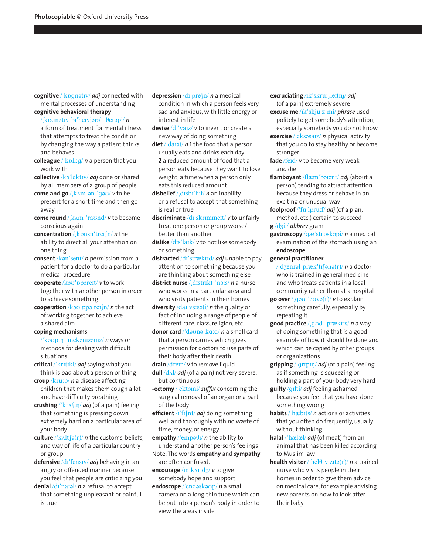- **cognitive** /'kpgnatry/ *adj* connected with mental processes of understanding
- **cognitive behavioral therapy**  /kpgnativ bi'heivjaral ,  $\theta$ erapi/ *n*

a form of treatment for mental illness that attempts to treat the condition by changing the way a patient thinks and behaves

**colleague** /'kpli:g/ *n* a person that you work with

**collective** /ka'lektIv/ *adj* done or shared by all members of a group of people

- **come and go** / k Am an 'gau/ **v** to be present for a short time and then go away
- **come round** / k Am 'raund/ *v* to become conscious again
- **concentration** / kpnsn'treifn/ *n* the ability to direct all your attention on one thing

**consent** /kon'sent/ *n* permission from a patient for a doctor to do a particular medical procedure

cooperate /kau'ppareIt/ *v* to work together with another person in order to achieve something

**cooperation** /kou ppo'reIfn/ *n* the act of working together to achieve a shared aim

## **coping mechanisms**

/'kaopin mekanizamz/ *n* ways or methods for dealing with difficult situations

**critical** /"krItIkl/ *adj* saying what you think is bad about a person or thing **croup** /kru:p/ *n* a disease affecting

children that makes them cough a lot and have difficulty breathing

crushing /'kr^[II]/ *adj* (of a pain) feeling that something is pressing down extremely hard on a particular area of your body

**culture**  $\frac{|k_A|}{\delta(r)}$  *n* the customs, beliefs, and way of life of a particular country or group

defensive /dɪ<sup>'</sup>fensɪv/ *adj* behaving in an angry or offended manner because you feel that people are criticizing you

denial /dɪ'naɪəl/ *n* a refusal to accept that something unpleasant or painful is true

depression /dɪ'prefn/ *n* a medical condition in which a person feels very sad and anxious, with little energy or interest in life

devise /dɪ'vaɪz/ *v* to invent or create a new way of doing something

diet /'daiat/ *n* 1 the food that a person usually eats and drinks each day **2** a reduced amount of food that a person eats because they want to lose weight; a time when a person only eats this reduced amount

**disbelief** / disbility *n* an inability or a refusal to accept that something is real or true

discriminate /dɪ'skrɪmɪneɪt/ *v* to unfairly treat one person or group worse/ better than another

dislike /dɪs'laɪk/ *v* to not like somebody or something

distracted /di<sup>'</sup>stræktid/ *adj* unable to pay attention to something because you are thinking about something else

district nurse / distrikt 'n3:s/ *n* a nurse who works in a particular area and who visits patients in their homes

diversity /daI'v3:sati/ *n* the quality or fact of including a range of people of different race, class, religion, etc.

donor card /'dauna ka:d/ *n* a small card that a person carries which gives permission for doctors to use parts of their body after their death

drain /drem/ *v* to remove liquid dull /d<sub>A</sub>l/ *adj* (of a pain) not very severe, but continuous

**-ectomy** /'ektami/ *suffix* concerning the surgical removal of an organ or a part of the body

**efficient** /I'fIfnt/ *adj* doing something well and thoroughly with no waste of time, money, or energy

**empathy** / $\text{'empə}\theta\text{i}$  *n* the ability to understand another person's feelings

Note: The words **empathy** and **sympathy** are often confused.

**encourage** /m'kArIdz/ *v* to give somebody hope and support

**endoscope** /'endoskoup/ *n* a small camera on a long thin tube which can be put into a person's body in order to view the areas inside

**excruciating** /Ik'skru: fiertin/ *adj* (of a pain) extremely severe

**excuse me** /Ik"skju:z mi/ *phrase* used politely to get somebody's attention, especially somebody you do not know

**exercise** / 'eksasaIz/ *n* physical activity that you do to stay healthy or become stronger

fade /feɪd/ *v* to become very weak and die

flamboyant /flæm'borant/ *adj* (about a person) tending to attract attention because they dress or behave in an exciting or unusual way

**foolproof** /"fu:lpru:f/ *adj* (of a plan, method, etc.) certain to succeed

**g** /dZi:/ *abbrev* gram

**gastroscopy** /gæ"strQsk@pi/ *n* a medical examination of the stomach using an **endoscope**

## **general practitioner**

/ dzenral præk'tIfana(r)/ *n* a doctor who is trained in general medicine and who treats patients in a local community rather than at a hospital

**go over**  $\frac{1}{2}$   $q \cdot q$   $q \cdot q$   $q \cdot q$   $q \cdot q$   $q \cdot q$   $q \cdot q$   $q \cdot q$   $q \cdot q$   $q \cdot q$ something carefully, especially by repeating it

**good practice** / **gud** 'præktis/ *n* a way of doing something that is a good example of how it should be done and which can be copied by other groups or organizations

**gripping** /"grIpIN/ *adj* (of a pain) feeling as if something is squeezing or holding a part of your body very hard

**guilty** /gIlti/ *adj* feeling ashamed because you feel that you have done something wrong

**habits** /"h&bIts/ *n* actions or activities that you often do frequently, usually without thinking

**halal** /"h&l&l/ *adj* (of meat) from an animal that has been killed according to Muslim law

**health visitor** /'hel $\theta$  vizito(r)/ *n* a trained nurse who visits people in their homes in order to give them advice on medical care, for example advising new parents on how to look after their baby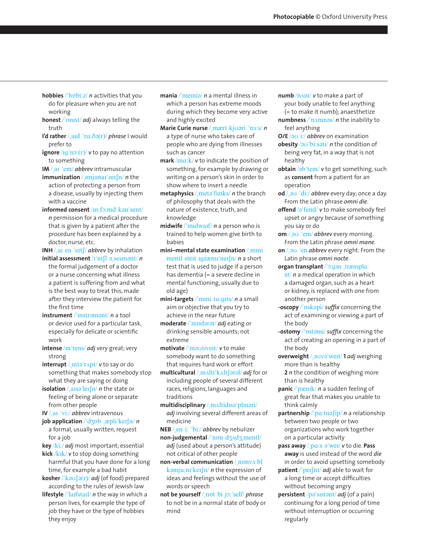- **hobbies** /'hpbi:z/ *n* activities that you do for pleasure when you are not working
- honest /'pnist/ *adj* always telling the truth
- **I'd rather** / and 'ra: $\delta \varphi(r)$  *phrase* I would prefer to
- **ignore**  $/(q \cdot n)(r)/v$  to pay no attention to something
- **IM** / aI 'em/ *abbrev* intramuscular
- **immunization** / *ImjunaI'zeIfn/ n* the action of protecting a person from a disease, usually by injecting them with a vaccine
- **informed consent** /In fo:md kan'sent/ *n* permission for a medical procedure that is given by a patient after the procedure has been explained by a doctor, nurse, etc.

INH / aI en 'eIt S/ abbrev by inhalation **initial assessment** /I'nIfl a sesmant/ *n* the formal judgement of a doctor or a nurse concerning what illness a patient is suffering from and what is the best way to treat this, made

the first time **instrument** /'Instramant/ *n* a tool or device used for a particular task, especially for delicate or scientific work

after they interview the patient for

**intense** /In"tens/ *adj* very great; very strong

**interrupt** / Intə rapt/ *v* to say or do something that makes somebody stop what they are saying or doing

**isolation** / also leisely *n* the state or feeling of being alone or separate from other people

**IV** / aI 'vi:/ *abbrev* intravenous

 $\frac{1}{2}$  **job application** /  $\frac{1}{2}$   $\frac{1}{2}$   $\frac{1}{2}$   $\frac{1}{2}$   $\frac{1}{2}$   $\frac{1}{2}$   $\frac{1}{2}$   $\frac{1}{2}$   $\frac{1}{2}$   $\frac{1}{2}$   $\frac{1}{2}$   $\frac{1}{2}$   $\frac{1}{2}$   $\frac{1}{2}$   $\frac{1}{2}$   $\frac{1}{2}$   $\frac{1}{2}$   $\frac{1}{2}$   $\frac{1}{2}$  a formal, usually written, request for a job

**key** /ki:/ *adj* most important; essential

**kick** /kIk/ *v* to stop doing something harmful that you have done for a long time, for example a bad habit

**kosher** /'kaussalery/ *adj* (of food) prepared according to the rules of Jewish law

**lifestyle** /'larfstarl/ *n* the way in which a person lives, for example the type of job they have or the type of hobbies they enjoy

- **mania** / memia/ *n* a mental illness in which a person has extreme moods during which they become very active and highly excited
- **Marie Curie nurse** / mæri kjuari 'n3:s/ *n* a type of nurse who takes care of people who are dying from illnesses such as cancer

**mark** /mg:k/ *v* to indicate the position of something, for example by drawing or writing on a person's skin in order to show where to insert a needle

metaphysics / meta'fiziks/ *n* the branch of philosophy that deals with the nature of existence, truth, and knowledge

**midwife** /"mIdwaIf/ *n* a person who is trained to help women give birth to babies

**mini–mental state examination** / mini mentl stert IgzæmI'neIfn/ *n* a short test that is used to judge if a person has dementia (= a severe decline in mental functioning, usually due to old age)

mini-targets /'mini ta:gits/ *n* a small aim or objective that you try to achieve in the near future

**moderate** /'mpdarat/ *adj* eating or drinking sensible amounts; not extreme

**motivate** /"m@UtIveIt/ *v* to make somebody want to do something that requires hard work or effort

**multicultural** / mAlti'kAltfaral/ *adj* for or including people of several different races, religions, languages and traditions

multidisciplinary / maltidIsa'plmari/ *adj* involving several different areas of medicine

**NEB** /%en i: "bi:/ *abbrev* by nebulizer

**non-judgemental** /'npn dz^dz, mentl/ adj (used about a person's attitude) not critical of other people

**non-verbal communication** / npnv3:bl  $k$ *emju:ni'keIfn/ n* the expression of ideas and feelings without the use of words or speech

**not be yourself** / npt bi jo:'self/ *phrase* to not be in a normal state of body or mind

- **numb** /nAm/ *v* to make a part of your body unable to feel anything (= to make it numb); anaesthetize
- **numbness** /'nAmnas/ *n* the inability to feel anything
- **O/E** /au i:/ *abbrev* on examination
- **obesity** /au'bi:sati/ *n* the condition of being very fat, in a way that is not healthy
- **obtain** /ab'tem/ *v* to get something, such as **consent** from a patient for an operation
- **od**  $/$  av  $'di$ :/ *abbrev* every day; once a day. From the Latin phrase *omni die*.
- **offend** /a'fend/ *v* to make somebody feel upset or angry because of something you say or do
- **om** / **a** $\frac{1}{2}$  **brev** every morning. From the Latin phrase *omni mane*.
- **on**  $/$  *o* 'en *abbrev* every night. From the Latin phrase *omni nocte*.
- **organ transplant** /'o:gon ,trænspla: nt/ *n* a medical operation in which a damaged organ, such as a heart or kidney, is replaced with one from another person
- **-oscopy** /'pskapi/ *suffix* concerning the act of examining or viewing a part of the body
- **-ostomy** /'pstami/ *suffix* concerning the act of creating an opening in a part of the body
- **overweight** / auva wet/ 1 *adj* weighing more than is healthy **2** *n* the condition of weighing more than is healthy
- **panic** /"p&nIk/ *n* a sudden feeling of great fear that makes you unable to think calmly

**partnership** /'pa:tnəfip/ *n* a relationship between two people or two organizations who work together on a particular activity

- **pass away** /%pA:s @"weI/ *v* to die. **Pass away** is used instead of the word *die* in order to avoid upsetting somebody
- **patient** /'peIfnt/ *adj* able to wait for a long time or accept difficulties without becoming angry
- **persistent** /pəˈsɪstənt/ *adj* (of a pain) continuing for a long period of time without interruption or occurring regularly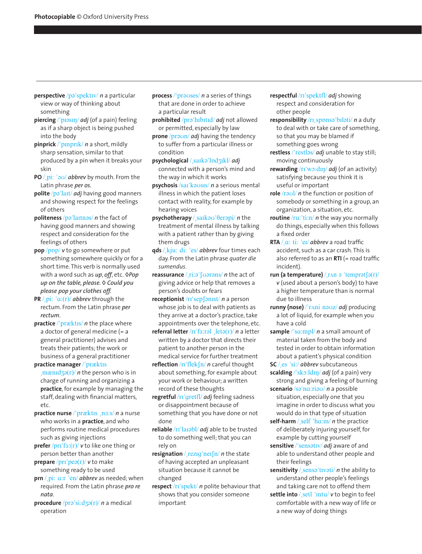- **perspective** /pəˈspektɪv/ *n* a particular view or way of thinking about something
- **piercing** / 'pIasIII / *adj* (of a pain) feeling as if a sharp object is being pushed into the body
- **pinprick** /"pInprIk/ *n* a short, mildly sharp sensation, similar to that produced by a pin when it breaks your skin
- **PO** */* pi: 'au/ *abbrev* by mouth. From the Latin phrase *per os.*
- **polite** /pə'laɪt/ *adj* having good manners and showing respect for the feelings of others
- **politeness** /pə'laItnəs/ *n* the fact of having good manners and showing respect and consideration for the feelings of others
- pop /ppp/ *v* to go somewhere or put something somewhere quickly or for a short time. This verb is normally used with a word such as *up*, *off*, etc. *◊Pop up on the table, please. ◊ Could you please pop your clothes off.*
- **PR** */ pi: 'a:(r)/ abbrev* through the rectum. From the Latin phrase *per rectum*.
- **practice** /'præktis/ *n* the place where a doctor of general medicine (= a general practitioner) advises and treats their patients; the work or business of a general practitioner
- **practice manager** /'præktis  $\frac{1}{2}$  mænidzə(r) *n* the person who is in charge of running and organizing a **practice**, for example by managing the staff, dealing with financial matters, etc.
- **practice nurse** /'præktis nass/ *n* a nurse who works in a **practice**, and who performs routine medical procedures such as giving injections
- **prefer** /pri'f3:(r)/ **v** to like one thing or person better than another
- **prepare**  $/$ prI'pe $\rho$ (r)  $/$  *v* to make something ready to be used
- prn / pi: a:r 'en/ *abbrev* as needed; when required. From the Latin phrase *pro re nata*.
- **procedure** /pro'si:dzo(r)/ *n* a medical operation
- **process** /'prauses/ *n* a series of things that are done in order to achieve a particular result
- prohibited /pro'hIbItId/ *adj* not allowed or permitted, especially by law
- **prone** /praun/ *adj* having the tendency to suffer from a particular illness or condition
- **psychological** /%saIk@"lQdZIkl/ *adj*  connected with a person's mind and the way in which it works
- **psychosis /saI'kausIs/** *n* a serious mental illness in which the patient loses contact with reality, for example by hearing voices
- **psychotherapy** / sarka <del>U'  $\theta$ erapi</del>/ *n* the treatment of mental illness by talking with a patient rather than by giving them drugs
- **qds** /%kju: di: "es/ *abbrev* four times each day. From the Latin phrase *quater die sumendus*.
- **reassurance** / ri:a' foarans/ *n* the act of giving advice or help that removes a person's doubts or fears
- **receptionist** /rɪ'sepfənɪst/ *n* a person whose job is to deal with patients as they arrive at a doctor's practice, take appointments over the telephone, etc.
- **referral letter**  $/rr$ <sup>t</sup>s:rol  $leto(r)/n$  a letter written by a doctor that directs their patient to another person in the medical service for further treatment
- **reflection** /rɪ'flek fn/ *n* careful thought about something, for example about your work or behaviour; a written record of these thoughts
- **regretful** /rI"gretfl/ *adj* feeling sadness or disappointment because of something that you have done or not done
- reliable /rI'laIabl/ *adj* able to be trusted to do something well; that you can rely on
- **resignation** / rezig 'neifn/ *n* the state of having accepted an unpleasant situation because it cannot be changed
- **respect** /rI"spekt/ *n* polite behaviour that shows that you consider someone important
- **respectful** /rI"spektfl/ *adj* showing respect and consideration for other people
- **responsibility** /rI, sppnsa' bIlati/ *n* a duty to deal with or take care of something, so that you may be blamed if something goes wrong
- restless /'restlas/ *adj* unable to stay still; moving continuously
- **rewarding** /rI"wO:dIN/ *adj* (of an activity) satisfying because you think it is useful or important
- **role** /roul/ *n* the function or position of somebody or something in a group, an organization, a situation, etc.
- **routine** /ru:"ti:n/ *n* the way you normally do things, especially when this follows a fixed order
- **RTA** */ a: ti: 'eI/ abbrev a road traffic* accident, such as a car crash. This is also referred to as an  $RTI$  (= road traffic incident).
- **run (a temperature)**  $/$ r  $\Lambda$ n  $\varphi$  'temprat  $\varphi(r)/r$ *v* (used about a person's body) to have a higher temperature than is normal due to illness
- runny (nose) /'rani nauz/ *adj* producing a lot of liquid, for example when you have a cold
- sample /'sa:mpl/ *n* a small amount of material taken from the body and tested in order to obtain information about a patient's physical condition
- **SC** / es 'si:/ *abbrev* subcutaneous scalding /'sko:ldII<sub>I</sub>/ *adj* (of a pain) very strong and giving a feeling of burning
- scenario /sə<sup>'</sup>na:riau/ *n* a possible situation, especially one that you imagine in order to discuss what you would do in that type of situation
- self-harm / self 'ha:m/ *n* the practice of deliberately injuring yourself, for example by cutting yourself
- sensitive /'sensativ/ *adj* aware of and able to understand other people and their feelings
- sensitivity / sensa train *n* the ability to understand other people's feelings and taking care not to offend them
- **settle into** /%setl "Intu/ *v* to begin to feel comfortable with a new way of life or a new way of doing things